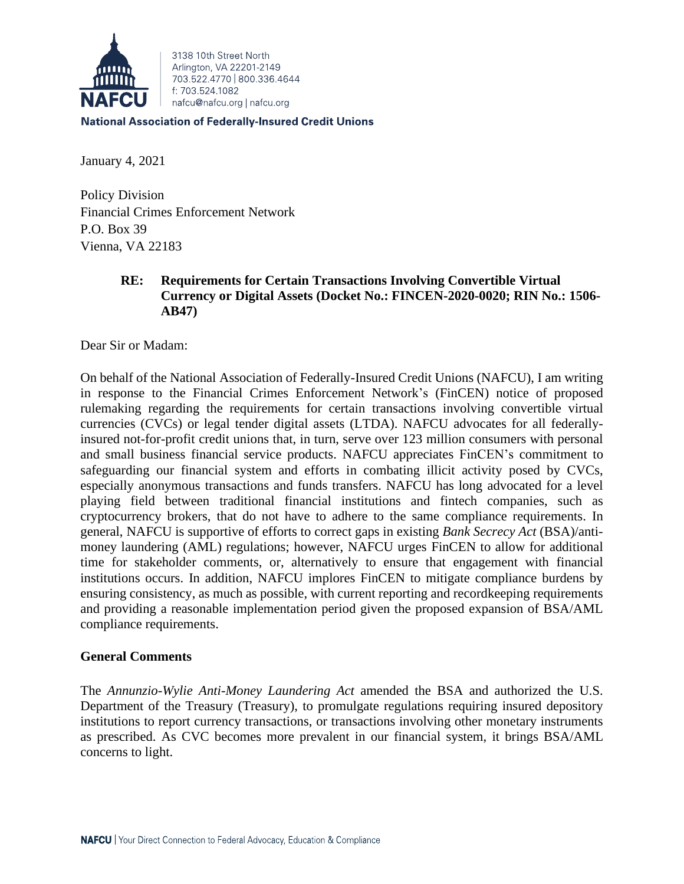

3138 10th Street North Arlington, VA 22201-2149 703 522 4770 800 336 4644 f: 703.524.1082 nafcu@nafcu.org | nafcu.org

**National Association of Federally-Insured Credit Unions** 

January 4, 2021

Policy Division Financial Crimes Enforcement Network P.O. Box 39 Vienna, VA 22183

# **RE: Requirements for Certain Transactions Involving Convertible Virtual Currency or Digital Assets (Docket No.: FINCEN-2020-0020; RIN No.: 1506- AB47)**

Dear Sir or Madam:

On behalf of the National Association of Federally-Insured Credit Unions (NAFCU), I am writing in response to the Financial Crimes Enforcement Network's (FinCEN) notice of proposed rulemaking regarding the requirements for certain transactions involving convertible virtual currencies (CVCs) or legal tender digital assets (LTDA). NAFCU advocates for all federallyinsured not-for-profit credit unions that, in turn, serve over 123 million consumers with personal and small business financial service products. NAFCU appreciates FinCEN's commitment to safeguarding our financial system and efforts in combating illicit activity posed by CVCs, especially anonymous transactions and funds transfers. NAFCU has long advocated for a level playing field between traditional financial institutions and fintech companies, such as cryptocurrency brokers, that do not have to adhere to the same compliance requirements. In general, NAFCU is supportive of efforts to correct gaps in existing *Bank Secrecy Act* (BSA)/antimoney laundering (AML) regulations; however, NAFCU urges FinCEN to allow for additional time for stakeholder comments, or, alternatively to ensure that engagement with financial institutions occurs. In addition, NAFCU implores FinCEN to mitigate compliance burdens by ensuring consistency, as much as possible, with current reporting and recordkeeping requirements and providing a reasonable implementation period given the proposed expansion of BSA/AML compliance requirements.

### **General Comments**

The *Annunzio-Wylie Anti-Money Laundering Act* amended the BSA and authorized the U.S. Department of the Treasury (Treasury), to promulgate regulations requiring insured depository institutions to report currency transactions, or transactions involving other monetary instruments as prescribed. As CVC becomes more prevalent in our financial system, it brings BSA/AML concerns to light.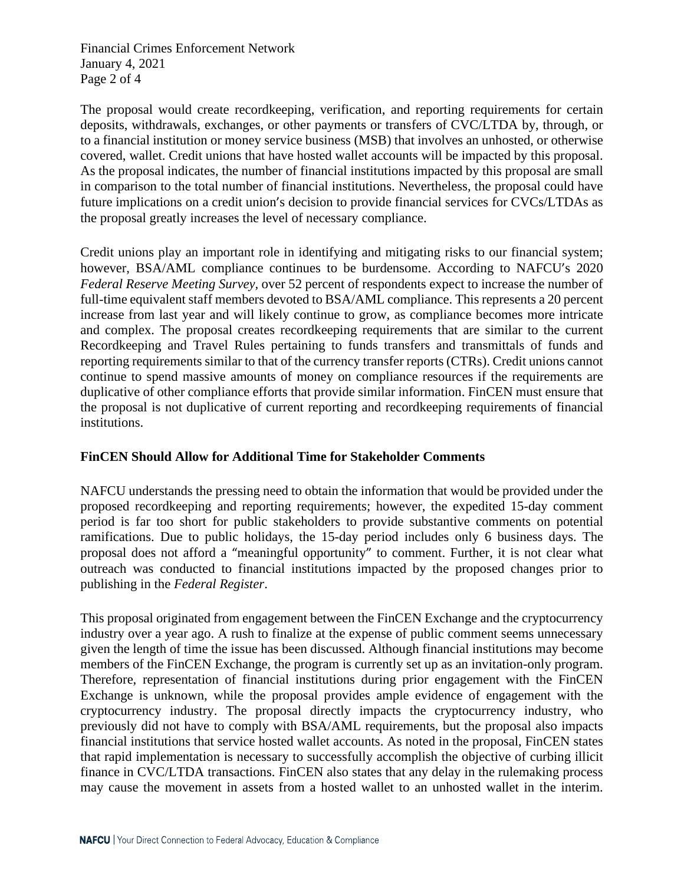Financial Crimes Enforcement Network January 4, 2021 Page 2 of 4

The proposal would create recordkeeping, verification, and reporting requirements for certain deposits, withdrawals, exchanges, or other payments or transfers of CVC/LTDA by, through, or to a financial institution or money service business (MSB) that involves an unhosted, or otherwise covered, wallet. Credit unions that have hosted wallet accounts will be impacted by this proposal. As the proposal indicates, the number of financial institutions impacted by this proposal are small in comparison to the total number of financial institutions. Nevertheless, the proposal could have future implications on a credit union's decision to provide financial services for CVCs/LTDAs as the proposal greatly increases the level of necessary compliance.

Credit unions play an important role in identifying and mitigating risks to our financial system; however, BSA/AML compliance continues to be burdensome. According to NAFCU's 2020 *Federal Reserve Meeting Survey,* over 52 percent of respondents expect to increase the number of full-time equivalent staff members devoted to BSA/AML compliance. This represents a 20 percent increase from last year and will likely continue to grow, as compliance becomes more intricate and complex. The proposal creates recordkeeping requirements that are similar to the current Recordkeeping and Travel Rules pertaining to funds transfers and transmittals of funds and reporting requirements similar to that of the currency transfer reports (CTRs). Credit unions cannot continue to spend massive amounts of money on compliance resources if the requirements are duplicative of other compliance efforts that provide similar information. FinCEN must ensure that the proposal is not duplicative of current reporting and recordkeeping requirements of financial institutions.

# **FinCEN Should Allow for Additional Time for Stakeholder Comments**

NAFCU understands the pressing need to obtain the information that would be provided under the proposed recordkeeping and reporting requirements; however, the expedited 15-day comment period is far too short for public stakeholders to provide substantive comments on potential ramifications. Due to public holidays, the 15-day period includes only 6 business days. The proposal does not afford a "meaningful opportunity" to comment. Further, it is not clear what outreach was conducted to financial institutions impacted by the proposed changes prior to publishing in the *Federal Register*.

This proposal originated from engagement between the FinCEN Exchange and the cryptocurrency industry over a year ago. A rush to finalize at the expense of public comment seems unnecessary given the length of time the issue has been discussed. Although financial institutions may become members of the FinCEN Exchange, the program is currently set up as an invitation-only program. Therefore, representation of financial institutions during prior engagement with the FinCEN Exchange is unknown, while the proposal provides ample evidence of engagement with the cryptocurrency industry. The proposal directly impacts the cryptocurrency industry, who previously did not have to comply with BSA/AML requirements, but the proposal also impacts financial institutions that service hosted wallet accounts. As noted in the proposal, FinCEN states that rapid implementation is necessary to successfully accomplish the objective of curbing illicit finance in CVC/LTDA transactions. FinCEN also states that any delay in the rulemaking process may cause the movement in assets from a hosted wallet to an unhosted wallet in the interim.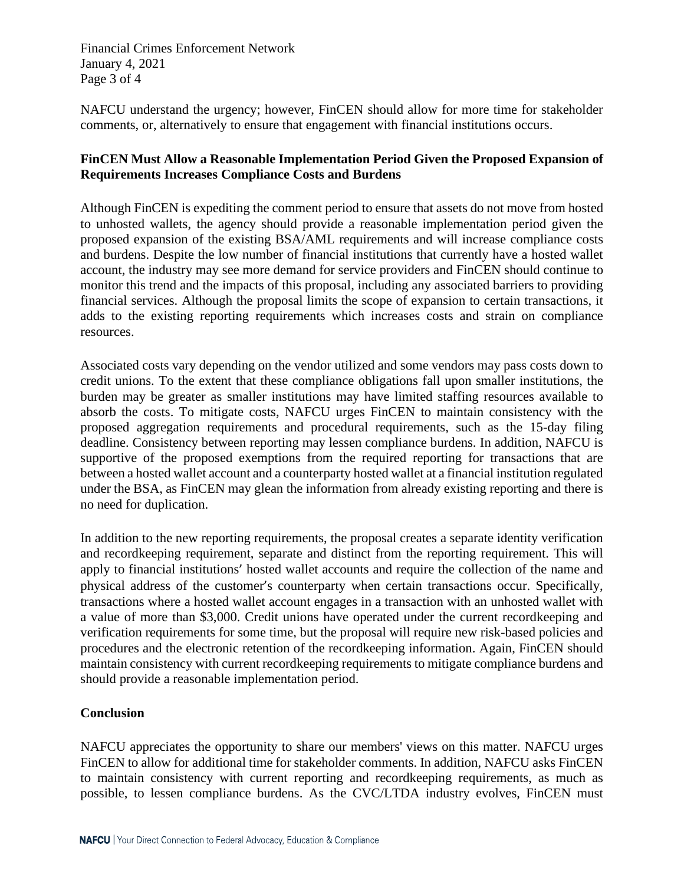Financial Crimes Enforcement Network January 4, 2021 Page 3 of 4

NAFCU understand the urgency; however, FinCEN should allow for more time for stakeholder comments, or, alternatively to ensure that engagement with financial institutions occurs.

### **FinCEN Must Allow a Reasonable Implementation Period Given the Proposed Expansion of Requirements Increases Compliance Costs and Burdens**

Although FinCEN is expediting the comment period to ensure that assets do not move from hosted to unhosted wallets, the agency should provide a reasonable implementation period given the proposed expansion of the existing BSA/AML requirements and will increase compliance costs and burdens. Despite the low number of financial institutions that currently have a hosted wallet account, the industry may see more demand for service providers and FinCEN should continue to monitor this trend and the impacts of this proposal, including any associated barriers to providing financial services. Although the proposal limits the scope of expansion to certain transactions, it adds to the existing reporting requirements which increases costs and strain on compliance resources.

Associated costs vary depending on the vendor utilized and some vendors may pass costs down to credit unions. To the extent that these compliance obligations fall upon smaller institutions, the burden may be greater as smaller institutions may have limited staffing resources available to absorb the costs. To mitigate costs, NAFCU urges FinCEN to maintain consistency with the proposed aggregation requirements and procedural requirements, such as the 15-day filing deadline. Consistency between reporting may lessen compliance burdens. In addition, NAFCU is supportive of the proposed exemptions from the required reporting for transactions that are between a hosted wallet account and a counterparty hosted wallet at a financial institution regulated under the BSA, as FinCEN may glean the information from already existing reporting and there is no need for duplication.

In addition to the new reporting requirements, the proposal creates a separate identity verification and recordkeeping requirement, separate and distinct from the reporting requirement. This will apply to financial institutions' hosted wallet accounts and require the collection of the name and physical address of the customer's counterparty when certain transactions occur. Specifically, transactions where a hosted wallet account engages in a transaction with an unhosted wallet with a value of more than \$3,000. Credit unions have operated under the current recordkeeping and verification requirements for some time, but the proposal will require new risk-based policies and procedures and the electronic retention of the recordkeeping information. Again, FinCEN should maintain consistency with current recordkeeping requirements to mitigate compliance burdens and should provide a reasonable implementation period.

# **Conclusion**

NAFCU appreciates the opportunity to share our members' views on this matter. NAFCU urges FinCEN to allow for additional time for stakeholder comments. In addition, NAFCU asks FinCEN to maintain consistency with current reporting and recordkeeping requirements, as much as possible, to lessen compliance burdens. As the CVC/LTDA industry evolves, FinCEN must